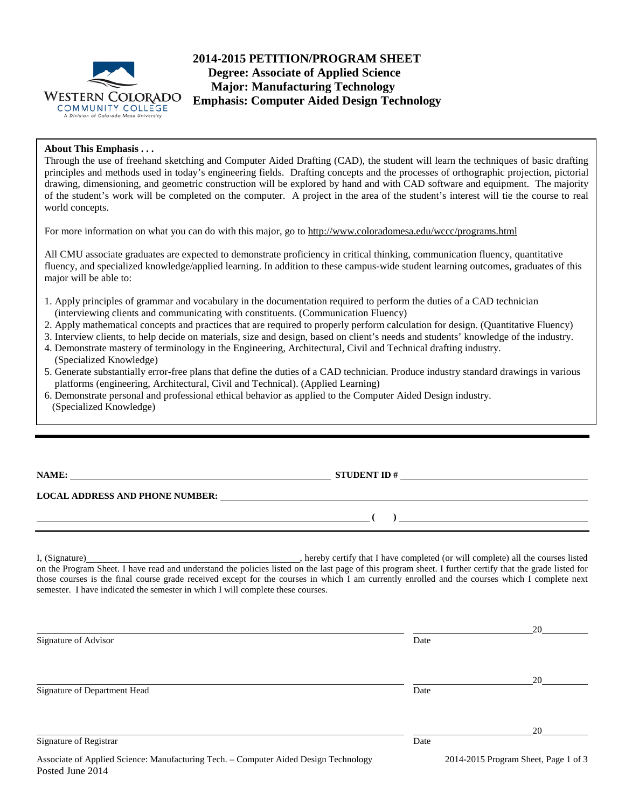

# **2014-2015 PETITION/PROGRAM SHEET Degree: Associate of Applied Science Major: Manufacturing Technology Emphasis: Computer Aided Design Technology**

## **About This Emphasis . . .**

Through the use of freehand sketching and Computer Aided Drafting (CAD), the student will learn the techniques of basic drafting principles and methods used in today's engineering fields. Drafting concepts and the processes of orthographic projection, pictorial drawing, dimensioning, and geometric construction will be explored by hand and with CAD software and equipment. The majority of the student's work will be completed on the computer. A project in the area of the student's interest will tie the course to real world concepts.

For more information on what you can do with this major, go to http://www.coloradomesa.edu/wccc/programs.html

All CMU associate graduates are expected to demonstrate proficiency in critical thinking, communication fluency, quantitative fluency, and specialized knowledge/applied learning. In addition to these campus-wide student learning outcomes, graduates of this major will be able to:

- 1. Apply principles of grammar and vocabulary in the documentation required to perform the duties of a CAD technician (interviewing clients and communicating with constituents. (Communication Fluency)
- 2. Apply mathematical concepts and practices that are required to properly perform calculation for design. (Quantitative Fluency)
- 3. Interview clients, to help decide on materials, size and design, based on client's needs and students' knowledge of the industry.
- 4. Demonstrate mastery of terminology in the Engineering, Architectural, Civil and Technical drafting industry. (Specialized Knowledge)
- 5. Generate substantially error-free plans that define the duties of a CAD technician. Produce industry standard drawings in various platforms (engineering, Architectural, Civil and Technical). (Applied Learning)
- 6. Demonstrate personal and professional ethical behavior as applied to the Computer Aided Design industry. (Specialized Knowledge)

**NAME: STUDENT ID # STUDENT ID # STUDENT ID # STUDENT ID # STUDENT ID # STUDENT ID # STUDENT ID # STUDENT ID # STUDENT ID # STUDENT # STUDENT # STUDENT # STUDENT # STUDENT # STUDENT # STUDEN** 

**( )** 

## **LOCAL ADDRESS AND PHONE NUMBER:**

I, (Signature) hereby certify that I have completed (or will complete) all the courses listed on the Program Sheet. I have read and understand the policies listed on the last page of this program sheet. I further certify that the grade listed for those courses is the final course grade received except for the courses in which I am currently enrolled and the courses which I complete next semester. I have indicated the semester in which I will complete these courses.

|                                                                                                                                                                                                                                                                                                                                                     |      | 20                                                                         |
|-----------------------------------------------------------------------------------------------------------------------------------------------------------------------------------------------------------------------------------------------------------------------------------------------------------------------------------------------------|------|----------------------------------------------------------------------------|
| Signature of Advisor                                                                                                                                                                                                                                                                                                                                | Date |                                                                            |
|                                                                                                                                                                                                                                                                                                                                                     |      | 20                                                                         |
| Signature of Department Head                                                                                                                                                                                                                                                                                                                        | Date |                                                                            |
|                                                                                                                                                                                                                                                                                                                                                     |      | 20                                                                         |
| Signature of Registrar                                                                                                                                                                                                                                                                                                                              | Date |                                                                            |
| $\Lambda$ and the $\Lambda$ and $\Lambda$ and $\Lambda$ and $\Lambda$ and $\Lambda$ are $\Lambda$ and $\Lambda$ and $\Lambda$ and $\Lambda$ and $\Lambda$ and $\Lambda$ and $\Lambda$ and $\Lambda$ are $\Lambda$ and $\Lambda$ are $\Lambda$ and $\Lambda$ are $\Lambda$ and $\Lambda$ are $\Lambda$ and $\Lambda$ are $\Lambda$ and $\Lambda$ are |      | $2014.2015$ $D_{12}$ $D_{23}$ $D_{34}$ $D_{44}$ $D_{54}$ $D_{64}$ $D_{74}$ |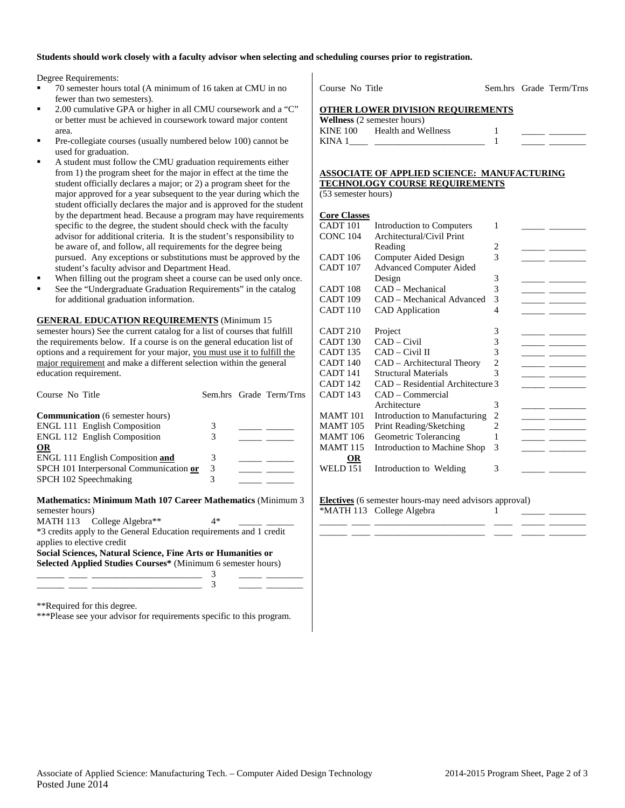#### **Students should work closely with a faculty advisor when selecting and scheduling courses prior to registration.**

Degree Requirements:

- 70 semester hours total (A minimum of 16 taken at CMU in no fewer than two semesters).
- 2.00 cumulative GPA or higher in all CMU coursework and a "C" or better must be achieved in coursework toward major content area.
- Pre-collegiate courses (usually numbered below 100) cannot be used for graduation.
- A student must follow the CMU graduation requirements either from 1) the program sheet for the major in effect at the time the student officially declares a major; or 2) a program sheet for the major approved for a year subsequent to the year during which the student officially declares the major and is approved for the student by the department head. Because a program may have requirements specific to the degree, the student should check with the faculty advisor for additional criteria. It is the student's responsibility to be aware of, and follow, all requirements for the degree being pursued. Any exceptions or substitutions must be approved by the student's faculty advisor and Department Head.
- When filling out the program sheet a course can be used only once.
- See the "Undergraduate Graduation Requirements" in the catalog for additional graduation information.

**GENERAL EDUCATION REQUIREMENTS** (Minimum 15 semester hours) See the current catalog for a list of courses that fulfill the requirements below. If a course is on the general education list of options and a requirement for your major, you must use it to fulfill the major requirement and make a different selection within the general education requirement.

| Course No Title                                                                                   |    | Sem.hrs Grade Term/Trns |
|---------------------------------------------------------------------------------------------------|----|-------------------------|
| <b>Communication</b> (6 semester hours)                                                           |    |                         |
| <b>ENGL 111 English Composition</b>                                                               | 3  |                         |
| ENGL 112 English Composition                                                                      | 3  |                         |
| <b>OR</b>                                                                                         |    |                         |
| ENGL 111 English Composition and                                                                  | 3  |                         |
| SPCH 101 Interpersonal Communication or                                                           | 3  |                         |
| SPCH 102 Speechmaking                                                                             | 3  |                         |
| <b>Mathematics: Minimum Math 107 Career Mathematics (Minimum 3)</b><br>semester hours)            |    |                         |
| MATH 113 College Algebra**                                                                        | 4* |                         |
| *3 credits apply to the General Education requirements and 1 credit<br>applies to elective credit |    |                         |
| Social Sciences, Natural Science, Fine Arts or Humanities or                                      |    |                         |
| Selected Applied Studies Courses* (Minimum 6 semester hours)                                      |    |                         |
|                                                                                                   |    |                         |
|                                                                                                   | 3  |                         |

\*\*Required for this degree.

\*\*\*Please see your advisor for requirements specific to this program.

Course No Title Sem.hrs Grade Term/Trns

#### **OTHER LOWER DIVISION REQUIREMENTS**

|          | <b>Wellness</b> (2 semester hours) |  |  |
|----------|------------------------------------|--|--|
| KINE 100 | Health and Wellness                |  |  |
| KINA 1   |                                    |  |  |

#### **ASSOCIATE OF APPLIED SCIENCE: MANUFACTURING TECHNOLOGY COURSE REQUIREMENTS**

(53 semester hours)

#### **Core Classes**

| COLU CHUDOU         |                                  |                |  |
|---------------------|----------------------------------|----------------|--|
| CADT <sub>101</sub> | Introduction to Computers        | 1              |  |
| <b>CONC 104</b>     | Architectural/Civil Print        |                |  |
|                     | Reading                          | 2              |  |
| CADT <sub>106</sub> | Computer Aided Design            | 3              |  |
| CADT <sub>107</sub> | <b>Advanced Computer Aided</b>   |                |  |
|                     | Design                           | 3              |  |
| CADT <sub>108</sub> | CAD – Mechanical                 | 3              |  |
| CADT <sub>109</sub> | CAD - Mechanical Advanced        | 3              |  |
| CADT <sub>110</sub> | <b>CAD</b> Application           | 4              |  |
|                     |                                  |                |  |
| CADT <sub>210</sub> | Project                          | 3              |  |
| CADT <sub>130</sub> | $CAD$ – Civil                    | 3              |  |
| CADT <sub>135</sub> | CAD – Civil II                   | 3              |  |
| CADT <sub>140</sub> | CAD - Architectural Theory       | 2              |  |
| CADT <sub>141</sub> | Structural Materials             | 3              |  |
| CADT <sub>142</sub> | CAD – Residential Architecture 3 |                |  |
| CADT <sub>143</sub> | CAD – Commercial                 |                |  |
|                     | Architecture                     | 3              |  |
| <b>MAMT</b> 101     | Introduction to Manufacturing    | $\overline{c}$ |  |
| <b>MAMT 105</b>     | Print Reading/Sketching          | $\overline{c}$ |  |
| <b>MAMT</b> 106     | Geometric Tolerancing            | 1              |  |
| <b>MAMT 115</b>     | Introduction to Machine Shop     | 3              |  |
| OR                  |                                  |                |  |
| <b>WELD 151</b>     | Introduction to Welding          | 3              |  |
|                     |                                  |                |  |

**Electives** (6 semester hours-may need advisors approval)  $*$ MATH 113 College Algebra  $1$ 

\_\_\_\_\_\_ \_\_\_\_ \_\_\_\_\_\_\_\_\_\_\_\_\_\_\_\_\_\_\_\_\_\_\_\_ \_\_\_\_ \_\_\_\_\_ \_\_\_\_\_\_\_\_ \_\_\_\_\_\_ \_\_\_\_ \_\_\_\_\_\_\_\_\_\_\_\_\_\_\_\_\_\_\_\_\_\_\_\_ \_\_\_\_ \_\_\_\_\_ \_\_\_\_\_\_\_\_